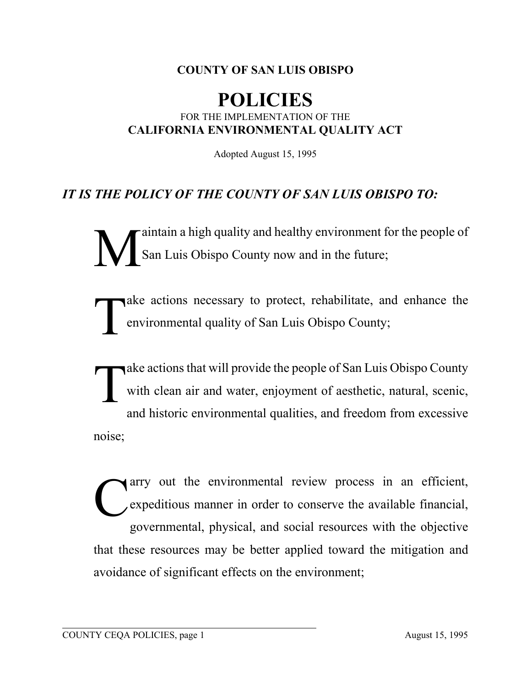## **COUNTY OF SAN LUIS OBISPO**

## **POLICIES** FOR THE IMPLEMENTATION OF THE **CALIFORNIA ENVIRONMENTAL QUALITY ACT**

Adopted August 15, 1995

## *IT IS THE POLICY OF THE COUNTY OF SAN LUIS OBISPO TO:*

Maintain a high quality and healthy environment for the people of<br>San Luis Obispo County now and in the future; San Luis Obispo County now and in the future;

Take actions necessary to protect, rehabilitate, and enhance the environmental quality of San Luis Obispo County; environmental quality of San Luis Obispo County;

Take actions that will provide the people of San Luis Obispo County<br>with clean air and water, enjoyment of aesthetic, natural, scenic,<br>and historic environmental qualities, and freedom from execusive with clean air and water, enjoyment of aesthetic, natural, scenic, and historic environmental qualities, and freedom from excessive noise;

The environmental review process in an efficient,<br>expeditious manner in order to conserve the available financial, expeditious manner in order to conserve the available financial, governmental, physical, and social resources with the objective that these resources may be better applied toward the mitigation and avoidance of significant effects on the environment;

l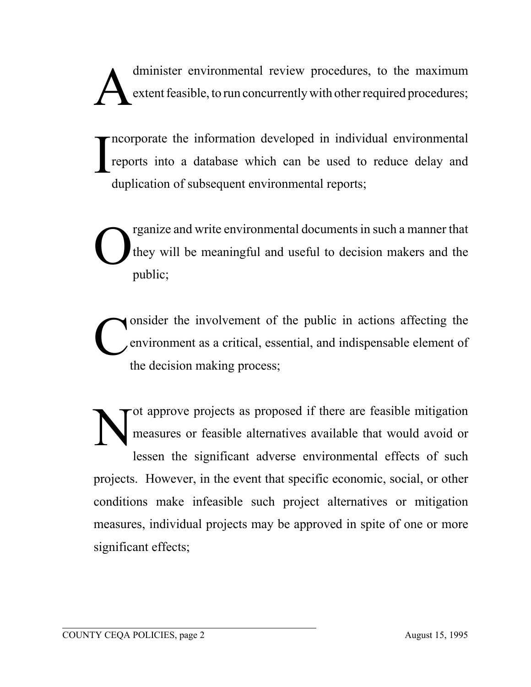dminister environmental review procedures, to the maximum<br>extent feasible, to run concurrently with other required procedures; extent feasible, to run concurrently with other required procedures;

I ncorporate the information developed in individual environmental reports into a database which can be used to reduce delay and duplication of subsequent environmental reports;

The present of the value of the value of the value of the meaningful and useful to decision makers and the multion they will be meaningful and useful to decision makers and the public;

Consider the involvement of the public in actions affecting the environment as a critical, essential, and indispensable element of the decision making process: environment as a critical, essential, and indispensable element of the decision making process;

Tot approve projects as proposed if there are feasible mitigation<br>measures or feasible alternatives available that would avoid or measures or feasible alternatives available that would avoid or lessen the significant adverse environmental effects of such projects. However, in the event that specific economic, social, or other conditions make infeasible such project alternatives or mitigation measures, individual projects may be approved in spite of one or more significant effects;

l